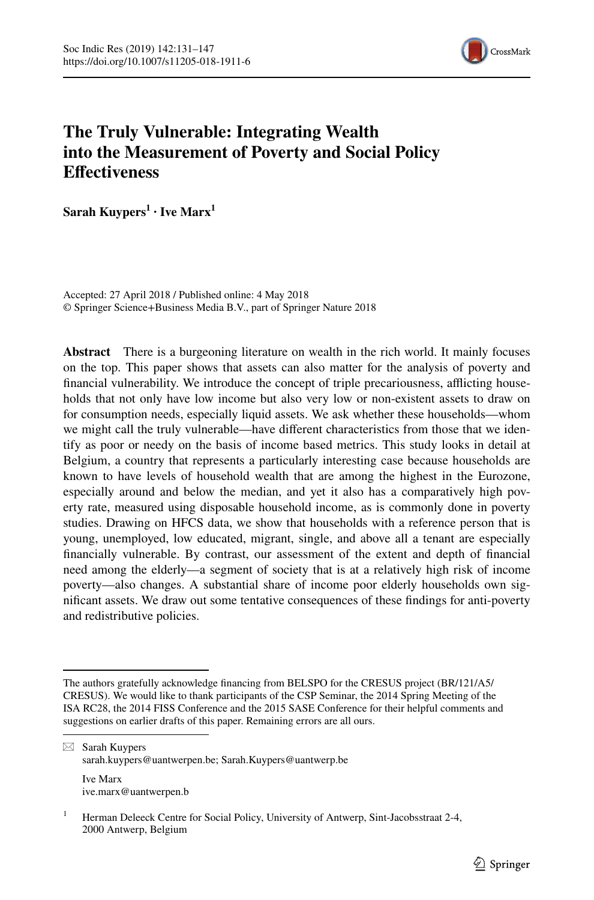

# **The Truly Vulnerable: Integrating Wealth into the Measurement of Poverty and Social Policy Efectiveness**

**Sarah Kuypers1 · Ive Marx<sup>1</sup>**

Accepted: 27 April 2018 / Published online: 4 May 2018 © Springer Science+Business Media B.V., part of Springer Nature 2018

**Abstract** There is a burgeoning literature on wealth in the rich world. It mainly focuses on the top. This paper shows that assets can also matter for the analysis of poverty and financial vulnerability. We introduce the concept of triple precariousness, afflicting households that not only have low income but also very low or non-existent assets to draw on for consumption needs, especially liquid assets. We ask whether these households—whom we might call the truly vulnerable—have diferent characteristics from those that we identify as poor or needy on the basis of income based metrics. This study looks in detail at Belgium, a country that represents a particularly interesting case because households are known to have levels of household wealth that are among the highest in the Eurozone, especially around and below the median, and yet it also has a comparatively high poverty rate, measured using disposable household income, as is commonly done in poverty studies. Drawing on HFCS data, we show that households with a reference person that is young, unemployed, low educated, migrant, single, and above all a tenant are especially fnancially vulnerable. By contrast, our assessment of the extent and depth of fnancial need among the elderly—a segment of society that is at a relatively high risk of income poverty—also changes. A substantial share of income poor elderly households own signifcant assets. We draw out some tentative consequences of these fndings for anti-poverty and redistributive policies.

The authors gratefully acknowledge fnancing from BELSPO for the CRESUS project (BR/121/A5/ CRESUS). We would like to thank participants of the CSP Seminar, the 2014 Spring Meeting of the ISA RC28, the 2014 FISS Conference and the 2015 SASE Conference for their helpful comments and suggestions on earlier drafts of this paper. Remaining errors are all ours.

 $\boxtimes$  Sarah Kuypers sarah.kuypers@uantwerpen.be; Sarah.Kuypers@uantwerp.be Ive Marx ive.marx@uantwerpen.b

<sup>&</sup>lt;sup>1</sup> Herman Deleeck Centre for Social Policy, University of Antwerp, Sint-Jacobsstraat 2-4, 2000 Antwerp, Belgium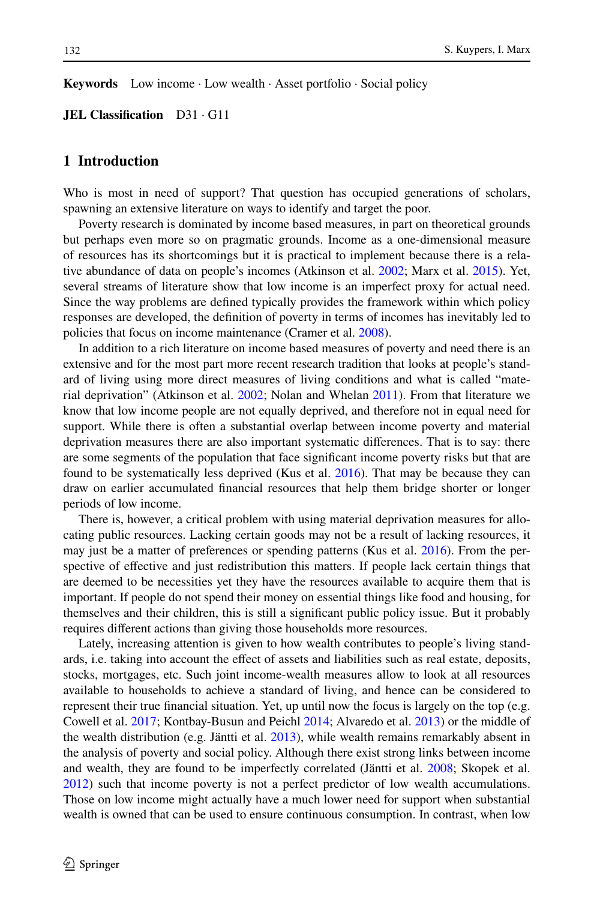**Keywords** Low income · Low wealth · Asset portfolio · Social policy

**JEL Classifcation** D31 · G11

# **1 Introduction**

Who is most in need of support? That question has occupied generations of scholars, spawning an extensive literature on ways to identify and target the poor.

Poverty research is dominated by income based measures, in part on theoretical grounds but perhaps even more so on pragmatic grounds. Income as a one-dimensional measure of resources has its shortcomings but it is practical to implement because there is a relative abundance of data on people's incomes (Atkinson et al. [2002](#page-14-0); Marx et al. [2015\)](#page-15-0). Yet, several streams of literature show that low income is an imperfect proxy for actual need. Since the way problems are defned typically provides the framework within which policy responses are developed, the defnition of poverty in terms of incomes has inevitably led to policies that focus on income maintenance (Cramer et al. [2008](#page-15-1)).

In addition to a rich literature on income based measures of poverty and need there is an extensive and for the most part more recent research tradition that looks at people's standard of living using more direct measures of living conditions and what is called "material deprivation" (Atkinson et al. [2002;](#page-14-0) Nolan and Whelan [2011](#page-15-2)). From that literature we know that low income people are not equally deprived, and therefore not in equal need for support. While there is often a substantial overlap between income poverty and material deprivation measures there are also important systematic diferences. That is to say: there are some segments of the population that face signifcant income poverty risks but that are found to be systematically less deprived (Kus et al. [2016\)](#page-15-3). That may be because they can draw on earlier accumulated fnancial resources that help them bridge shorter or longer periods of low income.

There is, however, a critical problem with using material deprivation measures for allocating public resources. Lacking certain goods may not be a result of lacking resources, it may just be a matter of preferences or spending patterns (Kus et al. [2016\)](#page-15-3). From the perspective of efective and just redistribution this matters. If people lack certain things that are deemed to be necessities yet they have the resources available to acquire them that is important. If people do not spend their money on essential things like food and housing, for themselves and their children, this is still a signifcant public policy issue. But it probably requires diferent actions than giving those households more resources.

Lately, increasing attention is given to how wealth contributes to people's living standards, i.e. taking into account the efect of assets and liabilities such as real estate, deposits, stocks, mortgages, etc. Such joint income-wealth measures allow to look at all resources available to households to achieve a standard of living, and hence can be considered to represent their true fnancial situation. Yet, up until now the focus is largely on the top (e.g. Cowell et al. [2017;](#page-15-4) Kontbay-Busun and Peichl [2014;](#page-15-5) Alvaredo et al. [2013\)](#page-14-1) or the middle of the wealth distribution (e.g. Jäntti et al. [2013](#page-15-6)), while wealth remains remarkably absent in the analysis of poverty and social policy. Although there exist strong links between income and wealth, they are found to be imperfectly correlated (Jäntti et al. [2008](#page-15-7); Skopek et al. [2012\)](#page-16-0) such that income poverty is not a perfect predictor of low wealth accumulations. Those on low income might actually have a much lower need for support when substantial wealth is owned that can be used to ensure continuous consumption. In contrast, when low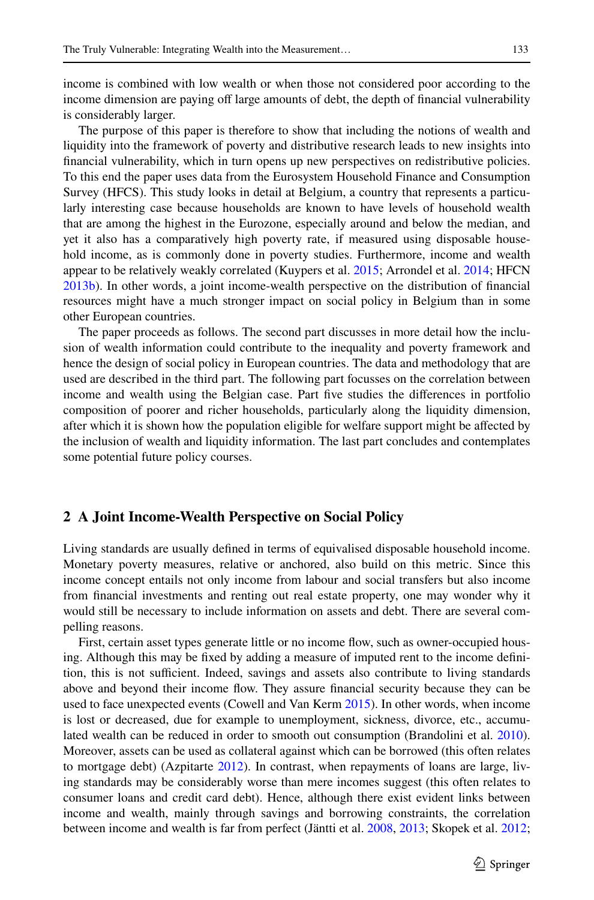income is combined with low wealth or when those not considered poor according to the income dimension are paying off large amounts of debt, the depth of financial vulnerability is considerably larger.

The purpose of this paper is therefore to show that including the notions of wealth and liquidity into the framework of poverty and distributive research leads to new insights into fnancial vulnerability, which in turn opens up new perspectives on redistributive policies. To this end the paper uses data from the Eurosystem Household Finance and Consumption Survey (HFCS). This study looks in detail at Belgium, a country that represents a particularly interesting case because households are known to have levels of household wealth that are among the highest in the Eurozone, especially around and below the median, and yet it also has a comparatively high poverty rate, if measured using disposable household income, as is commonly done in poverty studies. Furthermore, income and wealth appear to be relatively weakly correlated (Kuypers et al. [2015;](#page-15-8) Arrondel et al. [2014](#page-14-2); HFCN [2013b\)](#page-15-9). In other words, a joint income-wealth perspective on the distribution of fnancial resources might have a much stronger impact on social policy in Belgium than in some other European countries.

The paper proceeds as follows. The second part discusses in more detail how the inclusion of wealth information could contribute to the inequality and poverty framework and hence the design of social policy in European countries. The data and methodology that are used are described in the third part. The following part focusses on the correlation between income and wealth using the Belgian case. Part fve studies the diferences in portfolio composition of poorer and richer households, particularly along the liquidity dimension, after which it is shown how the population eligible for welfare support might be afected by the inclusion of wealth and liquidity information. The last part concludes and contemplates some potential future policy courses.

## **2 A Joint Income‑Wealth Perspective on Social Policy**

Living standards are usually defned in terms of equivalised disposable household income. Monetary poverty measures, relative or anchored, also build on this metric. Since this income concept entails not only income from labour and social transfers but also income from fnancial investments and renting out real estate property, one may wonder why it would still be necessary to include information on assets and debt. There are several compelling reasons.

First, certain asset types generate little or no income fow, such as owner-occupied housing. Although this may be fxed by adding a measure of imputed rent to the income defnition, this is not sufficient. Indeed, savings and assets also contribute to living standards above and beyond their income flow. They assure financial security because they can be used to face unexpected events (Cowell and Van Kerm [2015](#page-15-10)). In other words, when income is lost or decreased, due for example to unemployment, sickness, divorce, etc., accumulated wealth can be reduced in order to smooth out consumption (Brandolini et al. [2010](#page-15-11)). Moreover, assets can be used as collateral against which can be borrowed (this often relates to mortgage debt) (Azpitarte [2012](#page-14-3)). In contrast, when repayments of loans are large, living standards may be considerably worse than mere incomes suggest (this often relates to consumer loans and credit card debt). Hence, although there exist evident links between income and wealth, mainly through savings and borrowing constraints, the correlation between income and wealth is far from perfect (Jäntti et al. [2008,](#page-15-7) [2013;](#page-15-6) Skopek et al. [2012;](#page-16-0)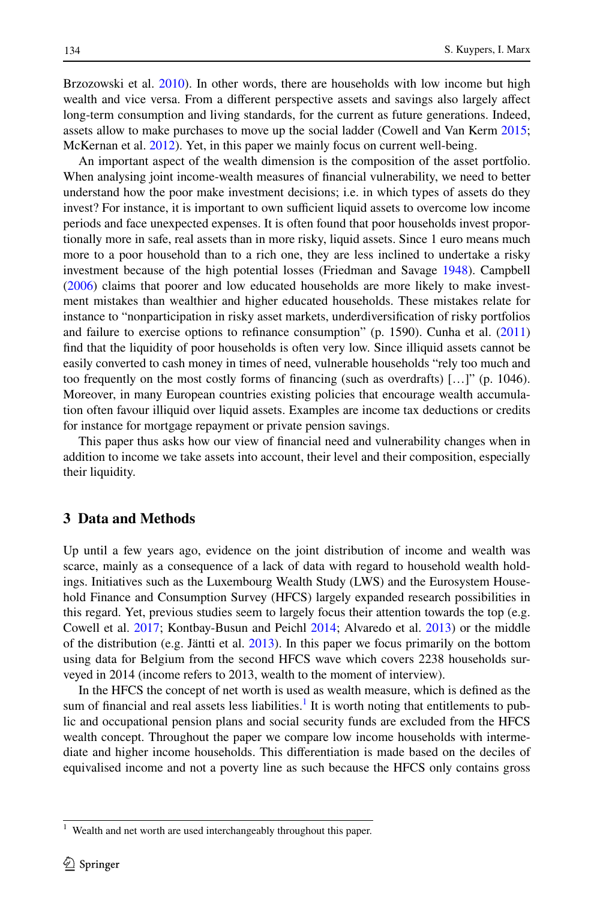Brzozowski et al. [2010\)](#page-15-12). In other words, there are households with low income but high wealth and vice versa. From a diferent perspective assets and savings also largely afect long-term consumption and living standards, for the current as future generations. Indeed, assets allow to make purchases to move up the social ladder (Cowell and Van Kerm [2015](#page-15-10); McKernan et al. [2012\)](#page-15-13). Yet, in this paper we mainly focus on current well-being.

An important aspect of the wealth dimension is the composition of the asset portfolio. When analysing joint income-wealth measures of fnancial vulnerability, we need to better understand how the poor make investment decisions; i.e. in which types of assets do they invest? For instance, it is important to own sufficient liquid assets to overcome low income periods and face unexpected expenses. It is often found that poor households invest proportionally more in safe, real assets than in more risky, liquid assets. Since 1 euro means much more to a poor household than to a rich one, they are less inclined to undertake a risky investment because of the high potential losses (Friedman and Savage [1948](#page-15-14)). Campbell ([2006\)](#page-15-15) claims that poorer and low educated households are more likely to make investment mistakes than wealthier and higher educated households. These mistakes relate for instance to "nonparticipation in risky asset markets, underdiversifcation of risky portfolios and failure to exercise options to refnance consumption" (p. 1590). Cunha et al. [\(2011](#page-15-16)) fnd that the liquidity of poor households is often very low. Since illiquid assets cannot be easily converted to cash money in times of need, vulnerable households "rely too much and too frequently on the most costly forms of fnancing (such as overdrafts) […]" (p. 1046). Moreover, in many European countries existing policies that encourage wealth accumulation often favour illiquid over liquid assets. Examples are income tax deductions or credits for instance for mortgage repayment or private pension savings.

This paper thus asks how our view of fnancial need and vulnerability changes when in addition to income we take assets into account, their level and their composition, especially their liquidity.

## **3 Data and Methods**

Up until a few years ago, evidence on the joint distribution of income and wealth was scarce, mainly as a consequence of a lack of data with regard to household wealth holdings. Initiatives such as the Luxembourg Wealth Study (LWS) and the Eurosystem Household Finance and Consumption Survey (HFCS) largely expanded research possibilities in this regard. Yet, previous studies seem to largely focus their attention towards the top (e.g. Cowell et al. [2017](#page-15-4); Kontbay-Busun and Peichl [2014](#page-15-5); Alvaredo et al. [2013](#page-14-1)) or the middle of the distribution (e.g. Jäntti et al. [2013](#page-15-6)). In this paper we focus primarily on the bottom using data for Belgium from the second HFCS wave which covers 2238 households surveyed in 2014 (income refers to 2013, wealth to the moment of interview).

In the HFCS the concept of net worth is used as wealth measure, which is defned as the sum of financial and real assets less liabilities.<sup>[1](#page-3-0)</sup> It is worth noting that entitlements to public and occupational pension plans and social security funds are excluded from the HFCS wealth concept. Throughout the paper we compare low income households with intermediate and higher income households. This diferentiation is made based on the deciles of equivalised income and not a poverty line as such because the HFCS only contains gross

<span id="page-3-0"></span><sup>&</sup>lt;sup>1</sup> Wealth and net worth are used interchangeably throughout this paper.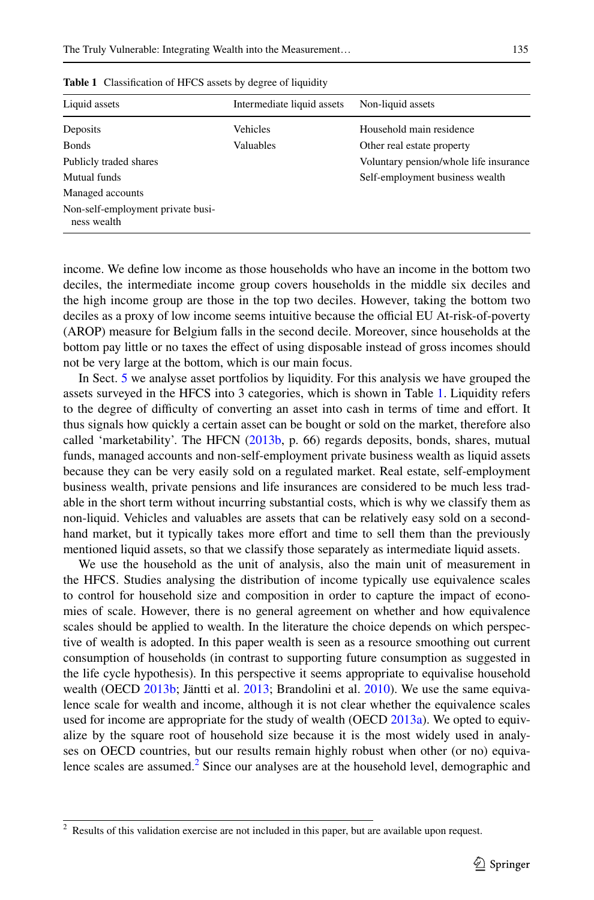| Liquid assets                                    | Intermediate liquid assets | Non-liquid assets                      |
|--------------------------------------------------|----------------------------|----------------------------------------|
| Deposits                                         | Vehicles                   | Household main residence               |
| <b>Bonds</b>                                     | Valuables                  | Other real estate property             |
| Publicly traded shares                           |                            | Voluntary pension/whole life insurance |
| Mutual funds                                     |                            | Self-employment business wealth        |
| Managed accounts                                 |                            |                                        |
| Non-self-employment private busi-<br>ness wealth |                            |                                        |

<span id="page-4-0"></span>**Table 1** Classifcation of HFCS assets by degree of liquidity

income. We defne low income as those households who have an income in the bottom two deciles, the intermediate income group covers households in the middle six deciles and the high income group are those in the top two deciles. However, taking the bottom two deciles as a proxy of low income seems intuitive because the official EU At-risk-of-poverty (AROP) measure for Belgium falls in the second decile. Moreover, since households at the bottom pay little or no taxes the efect of using disposable instead of gross incomes should not be very large at the bottom, which is our main focus.

In Sect. [5](#page-8-0) we analyse asset portfolios by liquidity. For this analysis we have grouped the assets surveyed in the HFCS into 3 categories, which is shown in Table [1](#page-4-0). Liquidity refers to the degree of difculty of converting an asset into cash in terms of time and efort. It thus signals how quickly a certain asset can be bought or sold on the market, therefore also called 'marketability'. The HFCN [\(2013b](#page-15-9), p. 66) regards deposits, bonds, shares, mutual funds, managed accounts and non-self-employment private business wealth as liquid assets because they can be very easily sold on a regulated market. Real estate, self-employment business wealth, private pensions and life insurances are considered to be much less tradable in the short term without incurring substantial costs, which is why we classify them as non-liquid. Vehicles and valuables are assets that can be relatively easy sold on a secondhand market, but it typically takes more effort and time to sell them than the previously mentioned liquid assets, so that we classify those separately as intermediate liquid assets.

We use the household as the unit of analysis, also the main unit of measurement in the HFCS. Studies analysing the distribution of income typically use equivalence scales to control for household size and composition in order to capture the impact of economies of scale. However, there is no general agreement on whether and how equivalence scales should be applied to wealth. In the literature the choice depends on which perspective of wealth is adopted. In this paper wealth is seen as a resource smoothing out current consumption of households (in contrast to supporting future consumption as suggested in the life cycle hypothesis). In this perspective it seems appropriate to equivalise household wealth (OECD [2013b](#page-15-17); Jäntti et al. [2013](#page-15-6); Brandolini et al. [2010\)](#page-15-11). We use the same equivalence scale for wealth and income, although it is not clear whether the equivalence scales used for income are appropriate for the study of wealth (OECD [2013a\)](#page-15-18). We opted to equivalize by the square root of household size because it is the most widely used in analyses on OECD countries, but our results remain highly robust when other (or no) equivalence scales are assumed.<sup>2</sup> Since our analyses are at the household level, demographic and

<span id="page-4-1"></span><sup>&</sup>lt;sup>2</sup> Results of this validation exercise are not included in this paper, but are available upon request.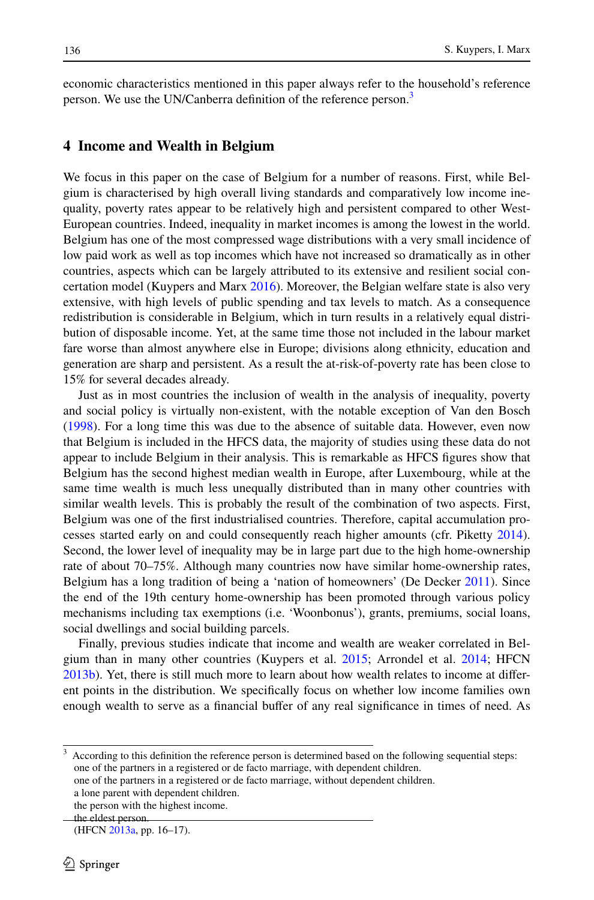economic characteristics mentioned in this paper always refer to the household's reference person. We use the UN/Canberra definition of the reference person.<sup>[3](#page-5-0)</sup>

#### **4 Income and Wealth in Belgium**

We focus in this paper on the case of Belgium for a number of reasons. First, while Belgium is characterised by high overall living standards and comparatively low income inequality, poverty rates appear to be relatively high and persistent compared to other West-European countries. Indeed, inequality in market incomes is among the lowest in the world. Belgium has one of the most compressed wage distributions with a very small incidence of low paid work as well as top incomes which have not increased so dramatically as in other countries, aspects which can be largely attributed to its extensive and resilient social concertation model (Kuypers and Marx [2016](#page-15-19)). Moreover, the Belgian welfare state is also very extensive, with high levels of public spending and tax levels to match. As a consequence redistribution is considerable in Belgium, which in turn results in a relatively equal distribution of disposable income. Yet, at the same time those not included in the labour market fare worse than almost anywhere else in Europe; divisions along ethnicity, education and generation are sharp and persistent. As a result the at-risk-of-poverty rate has been close to 15% for several decades already.

Just as in most countries the inclusion of wealth in the analysis of inequality, poverty and social policy is virtually non-existent, with the notable exception of Van den Bosch ([1998\)](#page-16-1). For a long time this was due to the absence of suitable data. However, even now that Belgium is included in the HFCS data, the majority of studies using these data do not appear to include Belgium in their analysis. This is remarkable as HFCS fgures show that Belgium has the second highest median wealth in Europe, after Luxembourg, while at the same time wealth is much less unequally distributed than in many other countries with similar wealth levels. This is probably the result of the combination of two aspects. First, Belgium was one of the frst industrialised countries. Therefore, capital accumulation processes started early on and could consequently reach higher amounts (cfr. Piketty [2014](#page-15-20)). Second, the lower level of inequality may be in large part due to the high home-ownership rate of about 70–75%. Although many countries now have similar home-ownership rates, Belgium has a long tradition of being a 'nation of homeowners' (De Decker [2011](#page-15-21)). Since the end of the 19th century home-ownership has been promoted through various policy mechanisms including tax exemptions (i.e. 'Woonbonus'), grants, premiums, social loans, social dwellings and social building parcels.

Finally, previous studies indicate that income and wealth are weaker correlated in Belgium than in many other countries (Kuypers et al. [2015](#page-15-8); Arrondel et al. [2014;](#page-14-2) HFCN [2013b\)](#page-15-9). Yet, there is still much more to learn about how wealth relates to income at diferent points in the distribution. We specifcally focus on whether low income families own enough wealth to serve as a financial buffer of any real significance in times of need. As

a lone parent with dependent children.

the eldest person.

(HFCN [2013a](#page-15-22), pp. 16–17).

<span id="page-5-0"></span>According to this definition the reference person is determined based on the following sequential steps: one of the partners in a registered or de facto marriage, with dependent children.

one of the partners in a registered or de facto marriage, without dependent children.

the person with the highest income.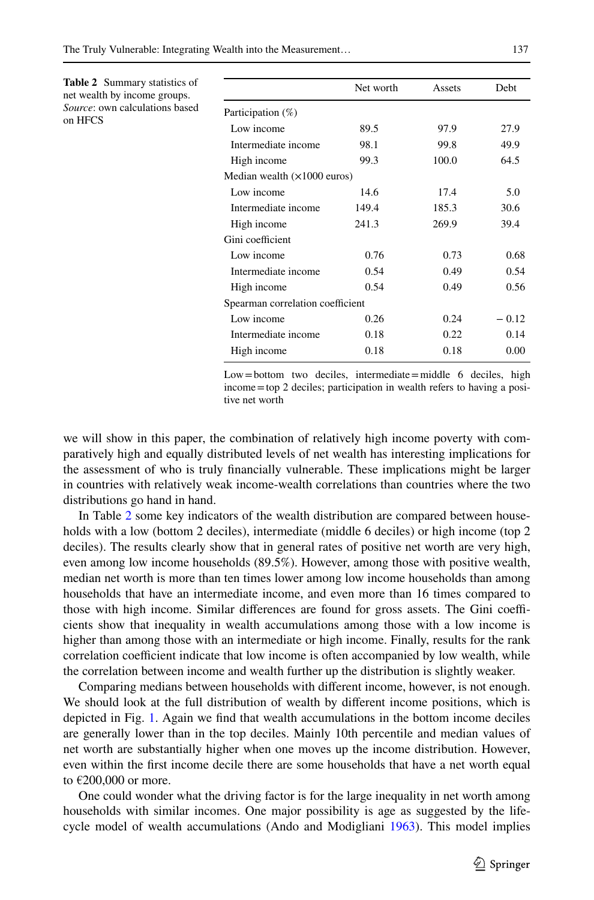<span id="page-6-0"></span>

| <b>Table 2</b> Summary statistics of<br>net wealth by income groups.<br>Source: own calculations based<br>on HFCS |                                       | Net worth | Assets | Debt    |  |  |  |
|-------------------------------------------------------------------------------------------------------------------|---------------------------------------|-----------|--------|---------|--|--|--|
|                                                                                                                   | Participation $(\%)$                  |           |        |         |  |  |  |
|                                                                                                                   | Low income                            | 89.5      | 97.9   | 27.9    |  |  |  |
|                                                                                                                   | Intermediate income                   | 98.1      | 99.8   | 49.9    |  |  |  |
|                                                                                                                   | High income                           | 99.3      | 100.0  | 64.5    |  |  |  |
|                                                                                                                   | Median wealth $(x1000 \text{ euros})$ |           |        |         |  |  |  |
|                                                                                                                   | Low income                            | 14.6      | 17.4   | 5.0     |  |  |  |
|                                                                                                                   | Intermediate income                   | 149.4     | 185.3  | 30.6    |  |  |  |
|                                                                                                                   | High income                           | 241.3     | 269.9  | 39.4    |  |  |  |
|                                                                                                                   | Gini coefficient                      |           |        |         |  |  |  |
|                                                                                                                   | Low income                            | 0.76      | 0.73   | 0.68    |  |  |  |
|                                                                                                                   | Intermediate income                   | 0.54      | 0.49   | 0.54    |  |  |  |
|                                                                                                                   | High income                           | 0.54      | 0.49   | 0.56    |  |  |  |
|                                                                                                                   | Spearman correlation coefficient      |           |        |         |  |  |  |
|                                                                                                                   | Low income                            | 0.26      | 0.24   | $-0.12$ |  |  |  |
|                                                                                                                   | Intermediate income                   | 0.18      | 0.22   | 0.14    |  |  |  |
|                                                                                                                   | High income                           | 0.18      | 0.18   | 0.00    |  |  |  |
|                                                                                                                   |                                       |           |        |         |  |  |  |

Low=bottom two deciles, intermediate=middle 6 deciles, high income=top 2 deciles; participation in wealth refers to having a positive net worth

we will show in this paper, the combination of relatively high income poverty with comparatively high and equally distributed levels of net wealth has interesting implications for the assessment of who is truly fnancially vulnerable. These implications might be larger in countries with relatively weak income-wealth correlations than countries where the two distributions go hand in hand.

In Table [2](#page-6-0) some key indicators of the wealth distribution are compared between households with a low (bottom 2 deciles), intermediate (middle 6 deciles) or high income (top 2 deciles). The results clearly show that in general rates of positive net worth are very high, even among low income households (89.5%). However, among those with positive wealth, median net worth is more than ten times lower among low income households than among households that have an intermediate income, and even more than 16 times compared to those with high income. Similar differences are found for gross assets. The Gini coefficients show that inequality in wealth accumulations among those with a low income is higher than among those with an intermediate or high income. Finally, results for the rank correlation coefficient indicate that low income is often accompanied by low wealth, while the correlation between income and wealth further up the distribution is slightly weaker.

Comparing medians between households with diferent income, however, is not enough. We should look at the full distribution of wealth by diferent income positions, which is depicted in Fig. [1.](#page-7-0) Again we fnd that wealth accumulations in the bottom income deciles are generally lower than in the top deciles. Mainly 10th percentile and median values of net worth are substantially higher when one moves up the income distribution. However, even within the frst income decile there are some households that have a net worth equal to €200,000 or more.

One could wonder what the driving factor is for the large inequality in net worth among households with similar incomes. One major possibility is age as suggested by the lifecycle model of wealth accumulations (Ando and Modigliani [1963](#page-14-4)). This model implies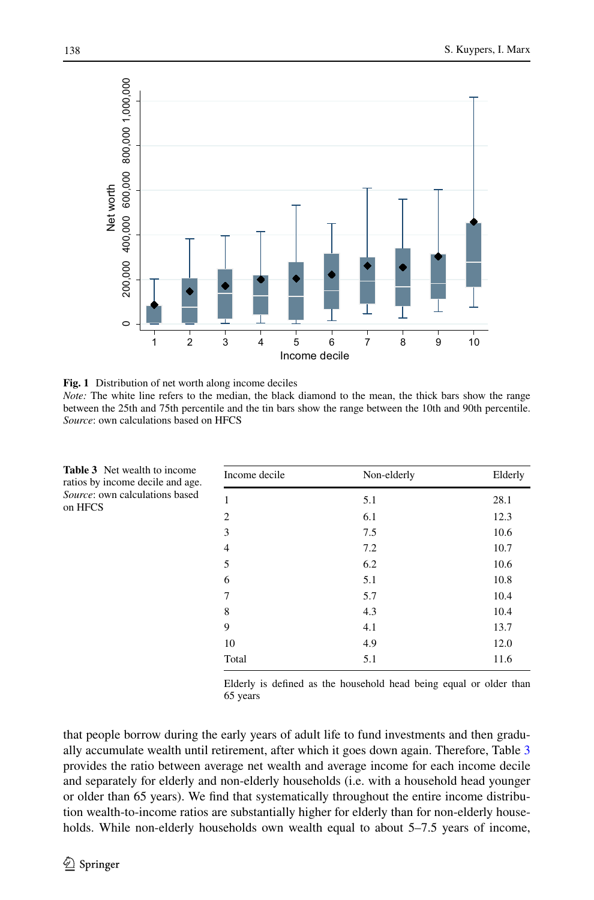

<span id="page-7-0"></span>**Fig. 1** Distribution of net worth along income deciles

<span id="page-7-1"></span>**Table 3** Net wealth to income ratios by income decile and age. *Source*: own calculations based

on HFCS

*Note:* The white line refers to the median, the black diamond to the mean, the thick bars show the range between the 25th and 75th percentile and the tin bars show the range between the 10th and 90th percentile. *Source*: own calculations based on HFCS

| Income decile  | Non-elderly | Elderly |  |
|----------------|-------------|---------|--|
| 1              | 5.1         | 28.1    |  |
| $\overline{2}$ | 6.1         | 12.3    |  |
| 3              | 7.5         | 10.6    |  |
| $\overline{4}$ | 7.2         | 10.7    |  |
| 5              | 6.2         | 10.6    |  |
| 6              | 5.1         | 10.8    |  |
| 7              | 5.7         | 10.4    |  |
| 8              | 4.3         | 10.4    |  |
| 9              | 4.1         | 13.7    |  |
| 10             | 4.9         | 12.0    |  |
| Total          | 5.1         | 11.6    |  |

Elderly is defned as the household head being equal or older than 65 years

that people borrow during the early years of adult life to fund investments and then gradually accumulate wealth until retirement, after which it goes down again. Therefore, Table [3](#page-7-1) provides the ratio between average net wealth and average income for each income decile and separately for elderly and non-elderly households (i.e. with a household head younger or older than 65 years). We fnd that systematically throughout the entire income distribution wealth-to-income ratios are substantially higher for elderly than for non-elderly households. While non-elderly households own wealth equal to about 5–7.5 years of income,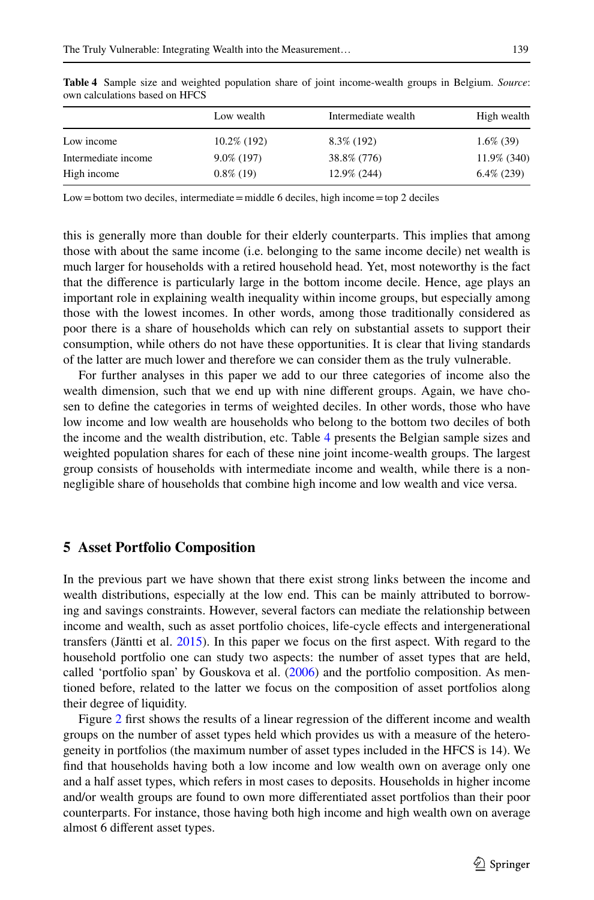|                     | Low wealth     | Intermediate wealth | High wealth   |
|---------------------|----------------|---------------------|---------------|
| Low income          | $10.2\%$ (192) | $8.3\%$ (192)       | $1.6\%$ (39)  |
| Intermediate income | $9.0\%$ (197)  | 38.8% (776)         | 11.9% (340)   |
| High income         | $0.8\%$ (19)   | 12.9% (244)         | $6.4\%$ (239) |

<span id="page-8-1"></span>**Table 4** Sample size and weighted population share of joint income-wealth groups in Belgium. *Source*: own calculations based on HFCS

Low = bottom two deciles, intermediate = middle 6 deciles, high income = top 2 deciles

this is generally more than double for their elderly counterparts. This implies that among those with about the same income (i.e. belonging to the same income decile) net wealth is much larger for households with a retired household head. Yet, most noteworthy is the fact that the diference is particularly large in the bottom income decile. Hence, age plays an important role in explaining wealth inequality within income groups, but especially among those with the lowest incomes. In other words, among those traditionally considered as poor there is a share of households which can rely on substantial assets to support their consumption, while others do not have these opportunities. It is clear that living standards of the latter are much lower and therefore we can consider them as the truly vulnerable.

For further analyses in this paper we add to our three categories of income also the wealth dimension, such that we end up with nine diferent groups. Again, we have chosen to defne the categories in terms of weighted deciles. In other words, those who have low income and low wealth are households who belong to the bottom two deciles of both the income and the wealth distribution, etc. Table [4](#page-8-1) presents the Belgian sample sizes and weighted population shares for each of these nine joint income-wealth groups. The largest group consists of households with intermediate income and wealth, while there is a nonnegligible share of households that combine high income and low wealth and vice versa.

## <span id="page-8-0"></span>**5 Asset Portfolio Composition**

In the previous part we have shown that there exist strong links between the income and wealth distributions, especially at the low end. This can be mainly attributed to borrowing and savings constraints. However, several factors can mediate the relationship between income and wealth, such as asset portfolio choices, life-cycle efects and intergenerational transfers (Jäntti et al. [2015\)](#page-15-23). In this paper we focus on the frst aspect. With regard to the household portfolio one can study two aspects: the number of asset types that are held, called 'portfolio span' by Gouskova et al. ([2006\)](#page-15-24) and the portfolio composition. As mentioned before, related to the latter we focus on the composition of asset portfolios along their degree of liquidity.

Figure [2](#page-9-0) first shows the results of a linear regression of the different income and wealth groups on the number of asset types held which provides us with a measure of the heterogeneity in portfolios (the maximum number of asset types included in the HFCS is 14). We fnd that households having both a low income and low wealth own on average only one and a half asset types, which refers in most cases to deposits. Households in higher income and/or wealth groups are found to own more diferentiated asset portfolios than their poor counterparts. For instance, those having both high income and high wealth own on average almost 6 diferent asset types.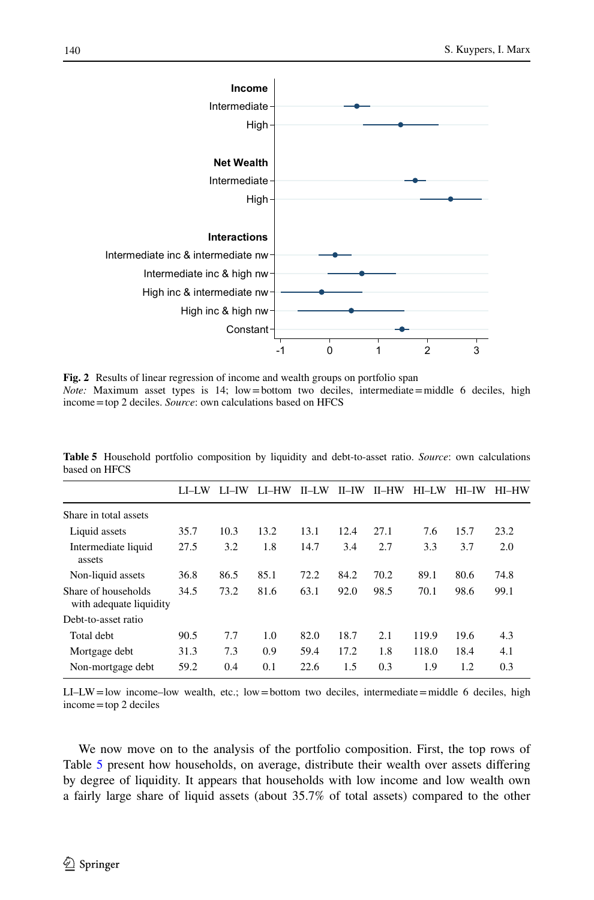

<span id="page-9-0"></span>**Fig. 2** Results of linear regression of income and wealth groups on portfolio span *Note:* Maximum asset types is 14; low=bottom two deciles, intermediate=middle 6 deciles, high income=top 2 deciles. *Source*: own calculations based on HFCS

|                                                | LI–LW | LI–IW | LI-HW | $II$ -LW | $II$ -IW | II–HW | $HI$ - $I.W$ | HI-IW | HI-HW |
|------------------------------------------------|-------|-------|-------|----------|----------|-------|--------------|-------|-------|
| Share in total assets                          |       |       |       |          |          |       |              |       |       |
| Liquid assets                                  | 35.7  | 10.3  | 13.2  | 13.1     | 12.4     | 27.1  | 7.6          | 15.7  | 23.2  |
| Intermediate liquid<br>assets                  | 27.5  | 3.2   | 1.8   | 14.7     | 3.4      | 2.7   | 3.3          | 3.7   | 2.0   |
| Non-liquid assets                              | 36.8  | 86.5  | 85.1  | 72.2     | 84.2     | 70.2  | 89.1         | 80.6  | 74.8  |
| Share of households<br>with adequate liquidity | 34.5  | 73.2  | 81.6  | 63.1     | 92.0     | 98.5  | 70.1         | 98.6  | 99.1  |
| Debt-to-asset ratio                            |       |       |       |          |          |       |              |       |       |
| Total debt                                     | 90.5  | 7.7   | 1.0   | 82.0     | 18.7     | 2.1   | 119.9        | 19.6  | 4.3   |
| Mortgage debt                                  | 31.3  | 7.3   | 0.9   | 59.4     | 17.2     | 1.8   | 118.0        | 18.4  | 4.1   |
| Non-mortgage debt                              | 59.2  | 0.4   | 0.1   | 22.6     | 1.5      | 0.3   | 1.9          | 1.2   | 0.3   |
|                                                |       |       |       |          |          |       |              |       |       |

<span id="page-9-1"></span>**Table 5** Household portfolio composition by liquidity and debt-to-asset ratio. *Source*: own calculations based on HFCS

 $L1-LW =$ low income–low wealth, etc.; low=bottom two deciles, intermediate=middle 6 deciles, high income=top 2 deciles

We now move on to the analysis of the portfolio composition. First, the top rows of Table [5](#page-9-1) present how households, on average, distribute their wealth over assets difering by degree of liquidity. It appears that households with low income and low wealth own a fairly large share of liquid assets (about 35.7% of total assets) compared to the other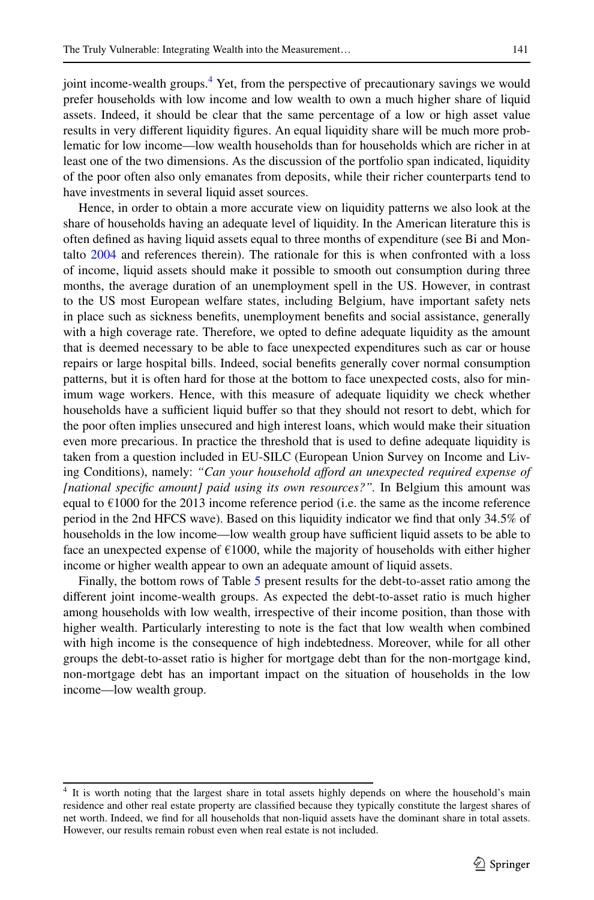joint income-wealth groups.<sup>4</sup> Yet, from the perspective of precautionary savings we would prefer households with low income and low wealth to own a much higher share of liquid assets. Indeed, it should be clear that the same percentage of a low or high asset value results in very diferent liquidity fgures. An equal liquidity share will be much more problematic for low income—low wealth households than for households which are richer in at least one of the two dimensions. As the discussion of the portfolio span indicated, liquidity of the poor often also only emanates from deposits, while their richer counterparts tend to have investments in several liquid asset sources.

Hence, in order to obtain a more accurate view on liquidity patterns we also look at the share of households having an adequate level of liquidity. In the American literature this is often defned as having liquid assets equal to three months of expenditure (see Bi and Montalto [2004](#page-14-5) and references therein). The rationale for this is when confronted with a loss of income, liquid assets should make it possible to smooth out consumption during three months, the average duration of an unemployment spell in the US. However, in contrast to the US most European welfare states, including Belgium, have important safety nets in place such as sickness benefts, unemployment benefts and social assistance, generally with a high coverage rate. Therefore, we opted to defne adequate liquidity as the amount that is deemed necessary to be able to face unexpected expenditures such as car or house repairs or large hospital bills. Indeed, social benefts generally cover normal consumption patterns, but it is often hard for those at the bottom to face unexpected costs, also for minimum wage workers. Hence, with this measure of adequate liquidity we check whether households have a sufficient liquid buffer so that they should not resort to debt, which for the poor often implies unsecured and high interest loans, which would make their situation even more precarious. In practice the threshold that is used to defne adequate liquidity is taken from a question included in EU-SILC (European Union Survey on Income and Living Conditions), namely: *"Can your household aford an unexpected required expense of [national specifc amount] paid using its own resources?".* In Belgium this amount was equal to  $\epsilon$ 1000 for the 2013 income reference period (i.e. the same as the income reference period in the 2nd HFCS wave). Based on this liquidity indicator we fnd that only 34.5% of households in the low income—low wealth group have sufficient liquid assets to be able to face an unexpected expense of  $\epsilon$ 1000, while the majority of households with either higher income or higher wealth appear to own an adequate amount of liquid assets.

Finally, the bottom rows of Table [5](#page-9-1) present results for the debt-to-asset ratio among the diferent joint income-wealth groups. As expected the debt-to-asset ratio is much higher among households with low wealth, irrespective of their income position, than those with higher wealth. Particularly interesting to note is the fact that low wealth when combined with high income is the consequence of high indebtedness. Moreover, while for all other groups the debt-to-asset ratio is higher for mortgage debt than for the non-mortgage kind, non-mortgage debt has an important impact on the situation of households in the low income—low wealth group.

<span id="page-10-0"></span><sup>&</sup>lt;sup>4</sup> It is worth noting that the largest share in total assets highly depends on where the household's main residence and other real estate property are classifed because they typically constitute the largest shares of net worth. Indeed, we fnd for all households that non-liquid assets have the dominant share in total assets. However, our results remain robust even when real estate is not included.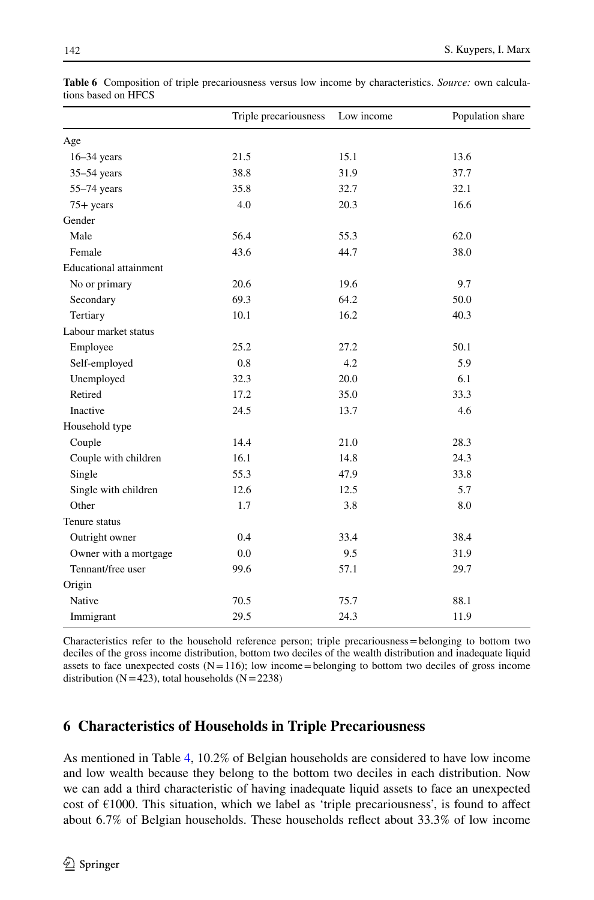|                               | Triple precariousness | Low income | Population share |
|-------------------------------|-----------------------|------------|------------------|
| Age                           |                       |            |                  |
| $16-34$ years                 | 21.5                  | 15.1       | 13.6             |
| $35-54$ years                 | 38.8                  | 31.9       | 37.7             |
| 55-74 years                   | 35.8                  | 32.7       | 32.1             |
| $75+$ years                   | 4.0                   | 20.3       | 16.6             |
| Gender                        |                       |            |                  |
| Male                          | 56.4                  | 55.3       | 62.0             |
| Female                        | 43.6                  | 44.7       | 38.0             |
| <b>Educational attainment</b> |                       |            |                  |
| No or primary                 | 20.6                  | 19.6       | 9.7              |
| Secondary                     | 69.3                  | 64.2       | 50.0             |
| Tertiary                      | 10.1                  | 16.2       | 40.3             |
| Labour market status          |                       |            |                  |
| Employee                      | 25.2                  | 27.2       | 50.1             |
| Self-employed                 | 0.8                   | 4.2        | 5.9              |
| Unemployed                    | 32.3                  | 20.0       | 6.1              |
| Retired                       | 17.2                  | 35.0       | 33.3             |
| Inactive                      | 24.5                  | 13.7       | 4.6              |
| Household type                |                       |            |                  |
| Couple                        | 14.4                  | 21.0       | 28.3             |
| Couple with children          | 16.1                  | 14.8       | 24.3             |
| Single                        | 55.3                  | 47.9       | 33.8             |
| Single with children          | 12.6                  | 12.5       | 5.7              |
| Other                         | 1.7                   | 3.8        | 8.0              |
| Tenure status                 |                       |            |                  |
| Outright owner                | 0.4                   | 33.4       | 38.4             |
| Owner with a mortgage         | 0.0                   | 9.5        | 31.9             |
| Tennant/free user             | 99.6                  | 57.1       | 29.7             |
| Origin                        |                       |            |                  |
| Native                        | 70.5                  | 75.7       | 88.1             |
| Immigrant                     | 29.5                  | 24.3       | 11.9             |

<span id="page-11-0"></span>**Table 6** Composition of triple precariousness versus low income by characteristics. *Source:* own calculations based on HFCS

Characteristics refer to the household reference person; triple precariousness=belonging to bottom two deciles of the gross income distribution, bottom two deciles of the wealth distribution and inadequate liquid assets to face unexpected costs  $(N=116)$ ; low income=belonging to bottom two deciles of gross income distribution ( $N=423$ ), total households ( $N=2238$ )

# **6 Characteristics of Households in Triple Precariousness**

As mentioned in Table [4](#page-8-1), 10.2% of Belgian households are considered to have low income and low wealth because they belong to the bottom two deciles in each distribution. Now we can add a third characteristic of having inadequate liquid assets to face an unexpected cost of  $E1000$ . This situation, which we label as 'triple precariousness', is found to affect about 6.7% of Belgian households. These households refect about 33.3% of low income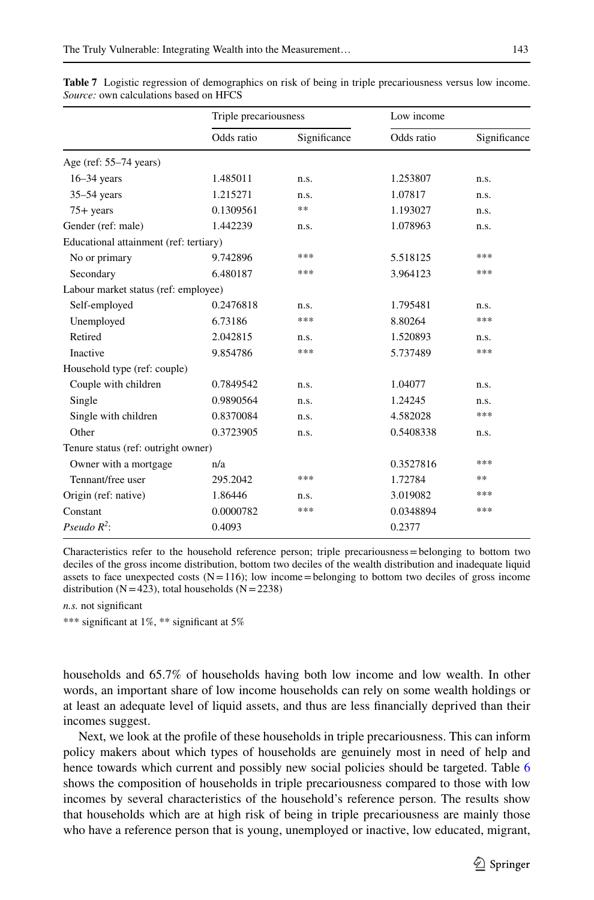|                                        |            | Triple precariousness |            |              |
|----------------------------------------|------------|-----------------------|------------|--------------|
|                                        | Odds ratio | Significance          | Odds ratio | Significance |
| Age (ref: $55-74$ years)               |            |                       |            |              |
| $16-34$ years                          | 1.485011   | n.s.                  | 1.253807   | n.s.         |
| $35-54$ years                          | 1.215271   | n.s.                  | 1.07817    | n.s.         |
| $75+$ years                            | 0.1309561  | $**$                  | 1.193027   | n.s.         |
| Gender (ref: male)                     | 1.442239   | n.s.                  | 1.078963   | n.s.         |
| Educational attainment (ref: tertiary) |            |                       |            |              |
| No or primary                          | 9.742896   | ***                   | 5.518125   | ***          |
| Secondary                              | 6.480187   | ***                   | 3.964123   | ***          |
| Labour market status (ref: employee)   |            |                       |            |              |
| Self-employed                          | 0.2476818  | n.s.                  | 1.795481   | n.s.         |
| Unemployed                             | 6.73186    | ***                   | 8.80264    | ***          |
| Retired                                | 2.042815   | n.s.                  | 1.520893   | n.s.         |
| <b>Inactive</b>                        | 9.854786   | ***                   | 5.737489   | ***          |
| Household type (ref: couple)           |            |                       |            |              |
| Couple with children                   | 0.7849542  | n.s.                  | 1.04077    | n.s.         |
| Single                                 | 0.9890564  | n.s.                  | 1.24245    | n.s.         |
| Single with children                   | 0.8370084  | n.s.                  | 4.582028   | ***          |
| Other                                  | 0.3723905  | n.s.                  | 0.5408338  | n.s.         |
| Tenure status (ref: outright owner)    |            |                       |            |              |
| Owner with a mortgage                  | n/a        |                       | 0.3527816  | ***          |
| Tennant/free user                      | 295.2042   | ***                   | 1.72784    | **           |
| Origin (ref: native)                   | 1.86446    | n.s.                  | 3.019082   | ***          |
| Constant                               | 0.0000782  | ***                   | 0.0348894  | ***          |
| Pseudo $R^2$ :                         | 0.4093     |                       | 0.2377     |              |
|                                        |            |                       |            |              |

<span id="page-12-0"></span>**Table 7** Logistic regression of demographics on risk of being in triple precariousness versus low income. *Source:* own calculations based on HFCS

Characteristics refer to the household reference person; triple precariousness=belonging to bottom two deciles of the gross income distribution, bottom two deciles of the wealth distribution and inadequate liquid assets to face unexpected costs  $(N=116)$ ; low income=belonging to bottom two deciles of gross income distribution ( $N=423$ ), total households ( $N=2238$ )

*n.s.* not signifcant

\*\*\* significant at 1%, \*\* significant at 5%

households and 65.7% of households having both low income and low wealth. In other words, an important share of low income households can rely on some wealth holdings or at least an adequate level of liquid assets, and thus are less fnancially deprived than their incomes suggest.

Next, we look at the profle of these households in triple precariousness. This can inform policy makers about which types of households are genuinely most in need of help and hence towards which current and possibly new social policies should be targeted. Table [6](#page-11-0) shows the composition of households in triple precariousness compared to those with low incomes by several characteristics of the household's reference person. The results show that households which are at high risk of being in triple precariousness are mainly those who have a reference person that is young, unemployed or inactive, low educated, migrant,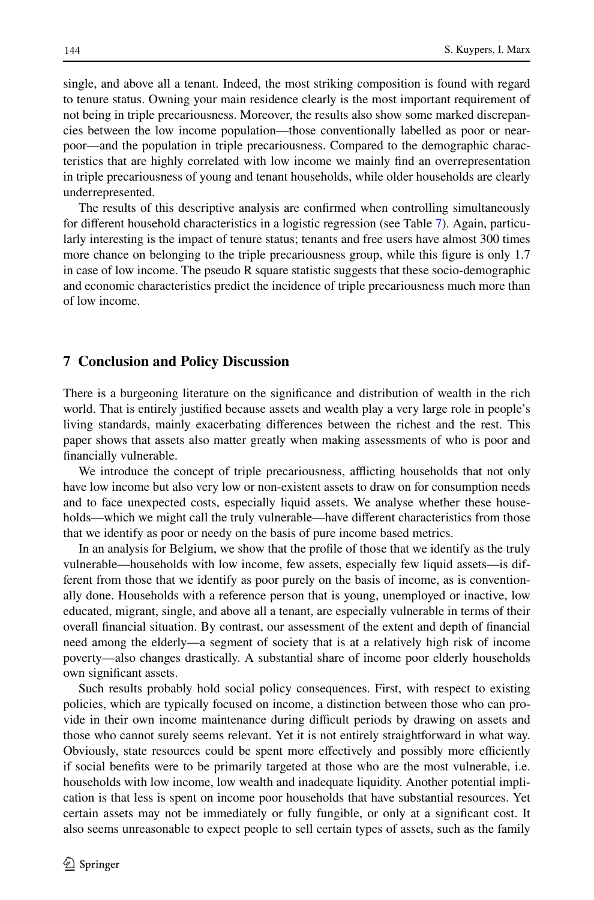single, and above all a tenant. Indeed, the most striking composition is found with regard to tenure status. Owning your main residence clearly is the most important requirement of not being in triple precariousness. Moreover, the results also show some marked discrepancies between the low income population—those conventionally labelled as poor or nearpoor—and the population in triple precariousness. Compared to the demographic characteristics that are highly correlated with low income we mainly fnd an overrepresentation in triple precariousness of young and tenant households, while older households are clearly underrepresented.

The results of this descriptive analysis are confrmed when controlling simultaneously for diferent household characteristics in a logistic regression (see Table [7](#page-12-0)). Again, particularly interesting is the impact of tenure status; tenants and free users have almost 300 times more chance on belonging to the triple precariousness group, while this fgure is only 1.7 in case of low income. The pseudo R square statistic suggests that these socio-demographic and economic characteristics predict the incidence of triple precariousness much more than of low income.

#### **7 Conclusion and Policy Discussion**

There is a burgeoning literature on the signifcance and distribution of wealth in the rich world. That is entirely justifed because assets and wealth play a very large role in people's living standards, mainly exacerbating diferences between the richest and the rest. This paper shows that assets also matter greatly when making assessments of who is poor and fnancially vulnerable.

We introduce the concept of triple precariousness, afflicting households that not only have low income but also very low or non-existent assets to draw on for consumption needs and to face unexpected costs, especially liquid assets. We analyse whether these households—which we might call the truly vulnerable—have different characteristics from those that we identify as poor or needy on the basis of pure income based metrics.

In an analysis for Belgium, we show that the profle of those that we identify as the truly vulnerable—households with low income, few assets, especially few liquid assets—is different from those that we identify as poor purely on the basis of income, as is conventionally done. Households with a reference person that is young, unemployed or inactive, low educated, migrant, single, and above all a tenant, are especially vulnerable in terms of their overall fnancial situation. By contrast, our assessment of the extent and depth of fnancial need among the elderly—a segment of society that is at a relatively high risk of income poverty—also changes drastically. A substantial share of income poor elderly households own signifcant assets.

Such results probably hold social policy consequences. First, with respect to existing policies, which are typically focused on income, a distinction between those who can provide in their own income maintenance during difficult periods by drawing on assets and those who cannot surely seems relevant. Yet it is not entirely straightforward in what way. Obviously, state resources could be spent more effectively and possibly more efficiently if social benefts were to be primarily targeted at those who are the most vulnerable, i.e. households with low income, low wealth and inadequate liquidity. Another potential implication is that less is spent on income poor households that have substantial resources. Yet certain assets may not be immediately or fully fungible, or only at a signifcant cost. It also seems unreasonable to expect people to sell certain types of assets, such as the family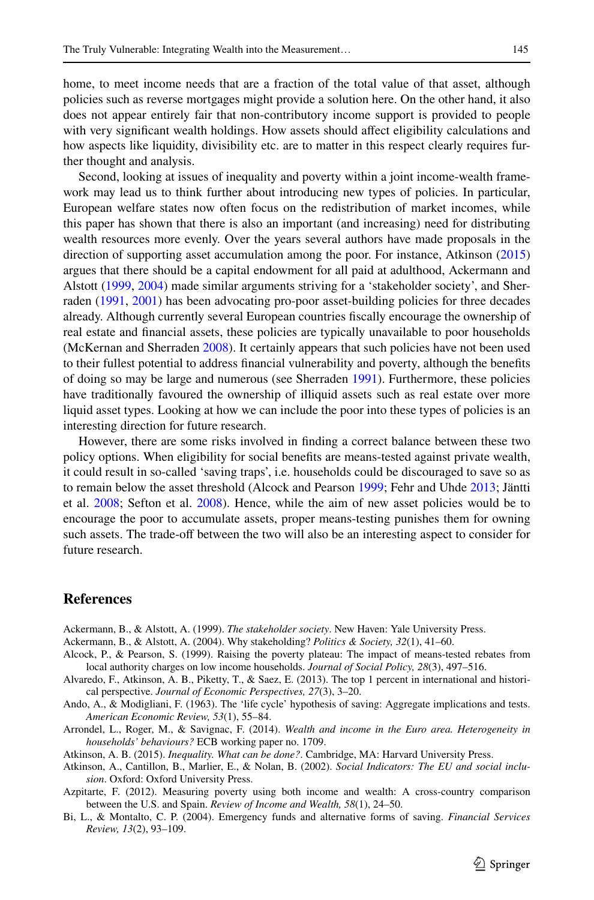home, to meet income needs that are a fraction of the total value of that asset, although policies such as reverse mortgages might provide a solution here. On the other hand, it also does not appear entirely fair that non-contributory income support is provided to people with very signifcant wealth holdings. How assets should afect eligibility calculations and how aspects like liquidity, divisibility etc. are to matter in this respect clearly requires further thought and analysis.

Second, looking at issues of inequality and poverty within a joint income-wealth framework may lead us to think further about introducing new types of policies. In particular, European welfare states now often focus on the redistribution of market incomes, while this paper has shown that there is also an important (and increasing) need for distributing wealth resources more evenly. Over the years several authors have made proposals in the direction of supporting asset accumulation among the poor. For instance, Atkinson [\(2015](#page-14-6)) argues that there should be a capital endowment for all paid at adulthood, Ackermann and Alstott [\(1999](#page-14-7), [2004](#page-14-8)) made similar arguments striving for a 'stakeholder society', and Sherraden ([1991,](#page-16-2) [2001\)](#page-16-3) has been advocating pro-poor asset-building policies for three decades already. Although currently several European countries fscally encourage the ownership of real estate and fnancial assets, these policies are typically unavailable to poor households (McKernan and Sherraden [2008](#page-15-25)). It certainly appears that such policies have not been used to their fullest potential to address fnancial vulnerability and poverty, although the benefts of doing so may be large and numerous (see Sherraden [1991\)](#page-16-2). Furthermore, these policies have traditionally favoured the ownership of illiquid assets such as real estate over more liquid asset types. Looking at how we can include the poor into these types of policies is an interesting direction for future research.

However, there are some risks involved in fnding a correct balance between these two policy options. When eligibility for social benefts are means-tested against private wealth, it could result in so-called 'saving traps', i.e. households could be discouraged to save so as to remain below the asset threshold (Alcock and Pearson [1999](#page-14-9); Fehr and Uhde [2013](#page-15-26); Jäntti et al. [2008;](#page-15-7) Sefton et al. [2008\)](#page-16-4). Hence, while the aim of new asset policies would be to encourage the poor to accumulate assets, proper means-testing punishes them for owning such assets. The trade-off between the two will also be an interesting aspect to consider for future research.

# **References**

<span id="page-14-7"></span>Ackermann, B., & Alstott, A. (1999). *The stakeholder society*. New Haven: Yale University Press.

- <span id="page-14-8"></span>Ackermann, B., & Alstott, A. (2004). Why stakeholding? *Politics & Society, 32*(1), 41–60.
- <span id="page-14-9"></span>Alcock, P., & Pearson, S. (1999). Raising the poverty plateau: The impact of means-tested rebates from local authority charges on low income households. *Journal of Social Policy, 28*(3), 497–516.
- <span id="page-14-1"></span>Alvaredo, F., Atkinson, A. B., Piketty, T., & Saez, E. (2013). The top 1 percent in international and historical perspective. *Journal of Economic Perspectives, 27*(3), 3–20.
- <span id="page-14-4"></span>Ando, A., & Modigliani, F. (1963). The 'life cycle' hypothesis of saving: Aggregate implications and tests. *American Economic Review, 53*(1), 55–84.
- <span id="page-14-2"></span>Arrondel, L., Roger, M., & Savignac, F. (2014). *Wealth and income in the Euro area. Heterogeneity in households' behaviours?* ECB working paper no. 1709.

<span id="page-14-6"></span>Atkinson, A. B. (2015). *Inequality. What can be done?*. Cambridge, MA: Harvard University Press.

<span id="page-14-0"></span>Atkinson, A., Cantillon, B., Marlier, E., & Nolan, B. (2002). *Social Indicators: The EU and social inclusion*. Oxford: Oxford University Press.

<span id="page-14-3"></span>Azpitarte, F. (2012). Measuring poverty using both income and wealth: A cross-country comparison between the U.S. and Spain. *Review of Income and Wealth, 58*(1), 24–50.

<span id="page-14-5"></span>Bi, L., & Montalto, C. P. (2004). Emergency funds and alternative forms of saving. *Financial Services Review, 13*(2), 93–109.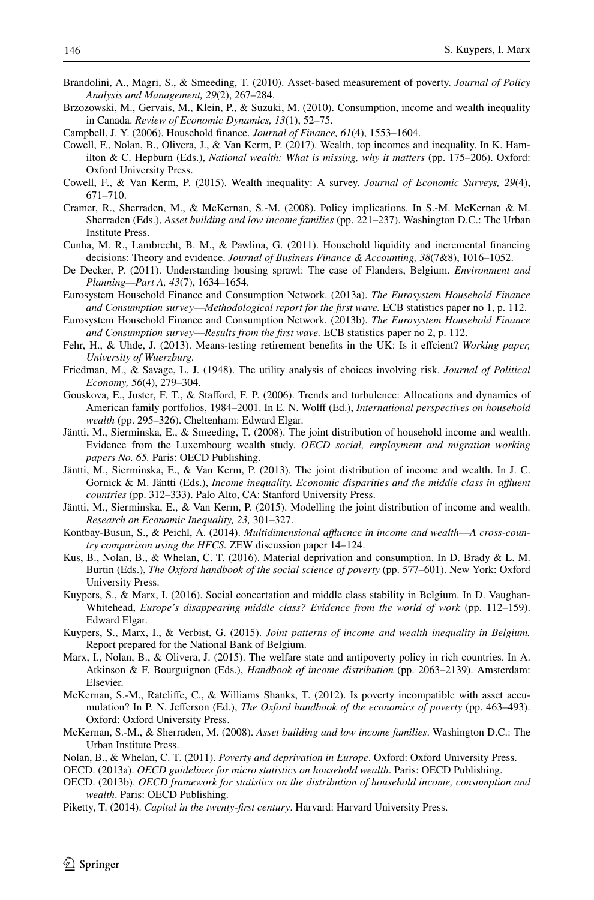- <span id="page-15-11"></span>Brandolini, A., Magri, S., & Smeeding, T. (2010). Asset-based measurement of poverty. *Journal of Policy Analysis and Management, 29*(2), 267–284.
- <span id="page-15-12"></span>Brzozowski, M., Gervais, M., Klein, P., & Suzuki, M. (2010). Consumption, income and wealth inequality in Canada. *Review of Economic Dynamics, 13*(1), 52–75.
- <span id="page-15-15"></span>Campbell, J. Y. (2006). Household fnance. *Journal of Finance, 61*(4), 1553–1604.
- <span id="page-15-4"></span>Cowell, F., Nolan, B., Olivera, J., & Van Kerm, P. (2017). Wealth, top incomes and inequality. In K. Hamilton & C. Hepburn (Eds.), *National wealth: What is missing, why it matters* (pp. 175–206). Oxford: Oxford University Press.
- <span id="page-15-10"></span>Cowell, F., & Van Kerm, P. (2015). Wealth inequality: A survey. *Journal of Economic Surveys, 29*(4), 671–710.
- <span id="page-15-1"></span>Cramer, R., Sherraden, M., & McKernan, S.-M. (2008). Policy implications. In S.-M. McKernan & M. Sherraden (Eds.), *Asset building and low income families* (pp. 221–237). Washington D.C.: The Urban Institute Press.
- <span id="page-15-16"></span>Cunha, M. R., Lambrecht, B. M., & Pawlina, G. (2011). Household liquidity and incremental fnancing decisions: Theory and evidence. *Journal of Business Finance & Accounting, 38*(7&8), 1016–1052.
- <span id="page-15-21"></span>De Decker, P. (2011). Understanding housing sprawl: The case of Flanders, Belgium. *Environment and Planning—Part A, 43*(7), 1634–1654.
- <span id="page-15-22"></span>Eurosystem Household Finance and Consumption Network. (2013a). *The Eurosystem Household Finance and Consumption survey*—*Methodological report for the frst wave.* ECB statistics paper no 1, p. 112.
- <span id="page-15-9"></span>Eurosystem Household Finance and Consumption Network. (2013b). *The Eurosystem Household Finance and Consumption survey*—*Results from the frst wave.* ECB statistics paper no 2, p. 112.
- <span id="page-15-26"></span>Fehr, H., & Uhde, J. (2013). Means-testing retirement benefits in the UK: Is it effcient? *Working paper*, *University of Wuerzburg.*
- <span id="page-15-14"></span>Friedman, M., & Savage, L. J. (1948). The utility analysis of choices involving risk. *Journal of Political Economy, 56*(4), 279–304.
- <span id="page-15-24"></span>Gouskova, E., Juster, F. T., & Staford, F. P. (2006). Trends and turbulence: Allocations and dynamics of American family portfolios, 1984–2001. In E. N. Wolf (Ed.), *International perspectives on household wealth* (pp. 295–326). Cheltenham: Edward Elgar.
- <span id="page-15-7"></span>Jäntti, M., Sierminska, E., & Smeeding, T. (2008). The joint distribution of household income and wealth. Evidence from the Luxembourg wealth study. *OECD social, employment and migration working papers No. 65.* Paris: OECD Publishing.
- <span id="page-15-6"></span>Jäntti, M., Sierminska, E., & Van Kerm, P. (2013). The joint distribution of income and wealth. In J. C. Gornick & M. Jäntti (Eds.), *Income inequality. Economic disparities and the middle class in afuent countries* (pp. 312–333). Palo Alto, CA: Stanford University Press.
- <span id="page-15-23"></span>Jäntti, M., Sierminska, E., & Van Kerm, P. (2015). Modelling the joint distribution of income and wealth. *Research on Economic Inequality, 23,* 301–327.
- <span id="page-15-5"></span>Kontbay-Busun, S., & Peichl, A. (2014). *Multidimensional affluence in income and wealth—A cross-country comparison using the HFCS.* ZEW discussion paper 14–124.
- <span id="page-15-3"></span>Kus, B., Nolan, B., & Whelan, C. T. (2016). Material deprivation and consumption. In D. Brady & L. M. Burtin (Eds.), *The Oxford handbook of the social science of poverty* (pp. 577–601). New York: Oxford University Press.
- <span id="page-15-19"></span>Kuypers, S., & Marx, I. (2016). Social concertation and middle class stability in Belgium. In D. Vaughan-Whitehead, *Europe's disappearing middle class? Evidence from the world of work* (pp. 112–159). Edward Elgar.
- <span id="page-15-8"></span>Kuypers, S., Marx, I., & Verbist, G. (2015). *Joint patterns of income and wealth inequality in Belgium.* Report prepared for the National Bank of Belgium.
- <span id="page-15-0"></span>Marx, I., Nolan, B., & Olivera, J. (2015). The welfare state and antipoverty policy in rich countries. In A. Atkinson & F. Bourguignon (Eds.), *Handbook of income distribution* (pp. 2063–2139). Amsterdam: Elsevier.
- <span id="page-15-13"></span>McKernan, S.-M., Ratclife, C., & Williams Shanks, T. (2012). Is poverty incompatible with asset accumulation? In P. N. Jeferson (Ed.), *The Oxford handbook of the economics of poverty* (pp. 463–493). Oxford: Oxford University Press.
- <span id="page-15-25"></span>McKernan, S.-M., & Sherraden, M. (2008). *Asset building and low income families*. Washington D.C.: The Urban Institute Press.
- <span id="page-15-2"></span>Nolan, B., & Whelan, C. T. (2011). *Poverty and deprivation in Europe*. Oxford: Oxford University Press.

<span id="page-15-18"></span>OECD. (2013a). *OECD guidelines for micro statistics on household wealth*. Paris: OECD Publishing.

- <span id="page-15-17"></span>OECD. (2013b). *OECD framework for statistics on the distribution of household income, consumption and wealth*. Paris: OECD Publishing.
- <span id="page-15-20"></span>Piketty, T. (2014). *Capital in the twenty-frst century*. Harvard: Harvard University Press.